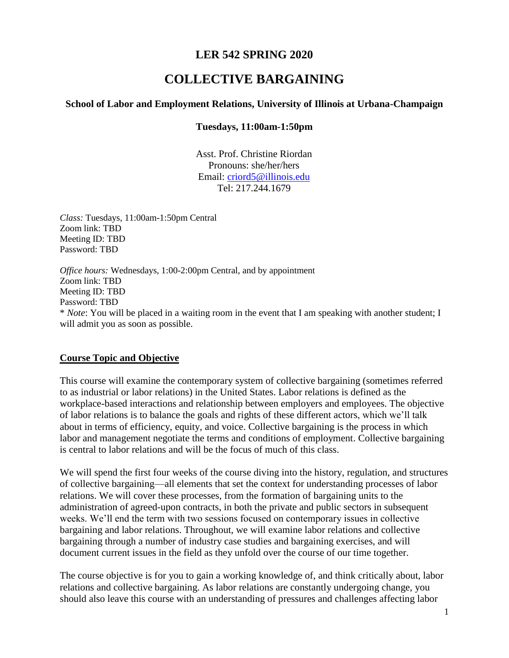# **LER 542 SPRING 2020**

# **COLLECTIVE BARGAINING**

#### **School of Labor and Employment Relations, University of Illinois at Urbana-Champaign**

#### **Tuesdays, 11:00am-1:50pm**

Asst. Prof. Christine Riordan Pronouns: she/her/hers Email: [criord5@illinois.edu](mailto:criord5@illinois.edu) Tel: 217.244.1679

*Class:* Tuesdays, 11:00am-1:50pm Central Zoom link: TBD Meeting ID: TBD Password: TBD

*Office hours:* Wednesdays, 1:00-2:00pm Central, and by appointment Zoom link: TBD Meeting ID: TBD Password: TBD \* *Note*: You will be placed in a waiting room in the event that I am speaking with another student; I will admit you as soon as possible.

#### **Course Topic and Objective**

This course will examine the contemporary system of collective bargaining (sometimes referred to as industrial or labor relations) in the United States. Labor relations is defined as the workplace-based interactions and relationship between employers and employees. The objective of labor relations is to balance the goals and rights of these different actors, which we'll talk about in terms of efficiency, equity, and voice. Collective bargaining is the process in which labor and management negotiate the terms and conditions of employment. Collective bargaining is central to labor relations and will be the focus of much of this class.

We will spend the first four weeks of the course diving into the history, regulation, and structures of collective bargaining—all elements that set the context for understanding processes of labor relations. We will cover these processes, from the formation of bargaining units to the administration of agreed-upon contracts, in both the private and public sectors in subsequent weeks. We'll end the term with two sessions focused on contemporary issues in collective bargaining and labor relations. Throughout, we will examine labor relations and collective bargaining through a number of industry case studies and bargaining exercises, and will document current issues in the field as they unfold over the course of our time together.

The course objective is for you to gain a working knowledge of, and think critically about, labor relations and collective bargaining. As labor relations are constantly undergoing change, you should also leave this course with an understanding of pressures and challenges affecting labor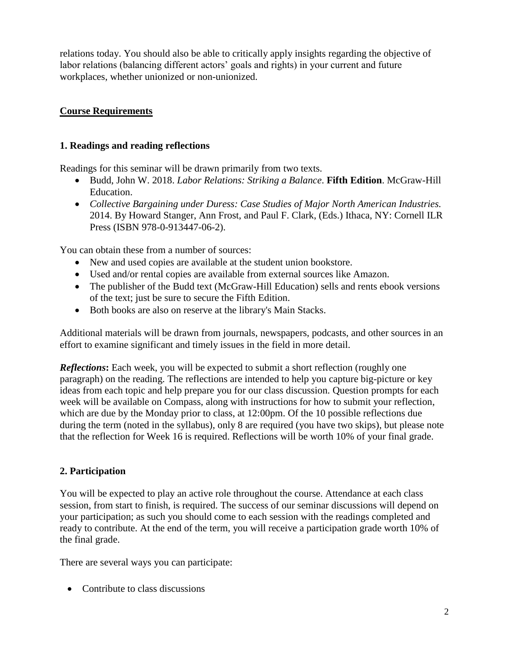relations today. You should also be able to critically apply insights regarding the objective of labor relations (balancing different actors' goals and rights) in your current and future workplaces, whether unionized or non-unionized.

# **Course Requirements**

# **1. Readings and reading reflections**

Readings for this seminar will be drawn primarily from two texts.

- Budd, John W. 2018. *Labor Relations: Striking a Balance*. **Fifth Edition**. McGraw-Hill Education.
- *Collective Bargaining under Duress: Case Studies of Major North American Industries.* 2014. By Howard Stanger, Ann Frost, and Paul F. Clark, (Eds.) Ithaca, NY: Cornell ILR Press (ISBN 978-0-913447-06-2).

You can obtain these from a number of sources:

- New and used copies are available at the student union bookstore.
- Used and/or rental copies are available from external sources like Amazon.
- The publisher of the Budd text (McGraw-Hill Education) sells and rents ebook versions of the text; just be sure to secure the Fifth Edition.
- Both books are also on reserve at the library's Main Stacks.

Additional materials will be drawn from journals, newspapers, podcasts, and other sources in an effort to examine significant and timely issues in the field in more detail.

*Reflections***:** Each week, you will be expected to submit a short reflection (roughly one paragraph) on the reading. The reflections are intended to help you capture big-picture or key ideas from each topic and help prepare you for our class discussion. Question prompts for each week will be available on Compass, along with instructions for how to submit your reflection, which are due by the Monday prior to class, at 12:00pm. Of the 10 possible reflections due during the term (noted in the syllabus), only 8 are required (you have two skips), but please note that the reflection for Week 16 is required. Reflections will be worth 10% of your final grade.

# **2. Participation**

You will be expected to play an active role throughout the course. Attendance at each class session, from start to finish, is required. The success of our seminar discussions will depend on your participation; as such you should come to each session with the readings completed and ready to contribute. At the end of the term, you will receive a participation grade worth 10% of the final grade.

There are several ways you can participate:

• Contribute to class discussions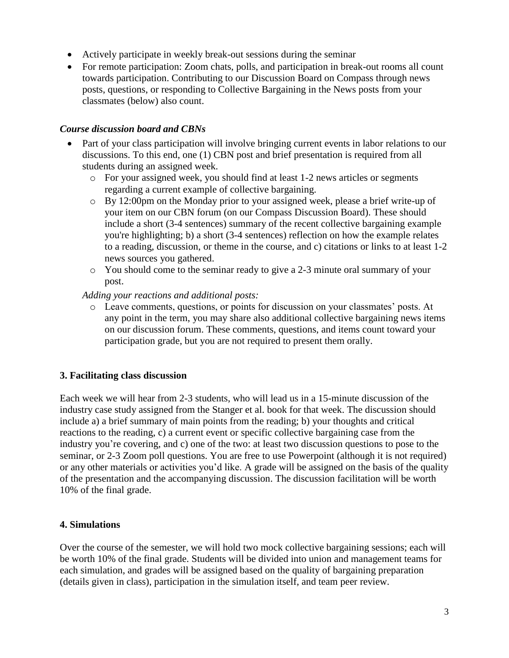- Actively participate in weekly break-out sessions during the seminar
- For remote participation: Zoom chats, polls, and participation in break-out rooms all count towards participation. Contributing to our Discussion Board on Compass through news posts, questions, or responding to Collective Bargaining in the News posts from your classmates (below) also count.

# *Course discussion board and CBNs*

- Part of your class participation will involve bringing current events in labor relations to our discussions. To this end, one (1) CBN post and brief presentation is required from all students during an assigned week.
	- o For your assigned week, you should find at least 1-2 news articles or segments regarding a current example of collective bargaining.
	- o By 12:00pm on the Monday prior to your assigned week, please a brief write-up of your item on our CBN forum (on our Compass Discussion Board). These should include a short (3-4 sentences) summary of the recent collective bargaining example you're highlighting; b) a short (3-4 sentences) reflection on how the example relates to a reading, discussion, or theme in the course, and c) citations or links to at least 1-2 news sources you gathered.
	- o You should come to the seminar ready to give a 2-3 minute oral summary of your post.

*Adding your reactions and additional posts:* 

o Leave comments, questions, or points for discussion on your classmates' posts. At any point in the term, you may share also additional collective bargaining news items on our discussion forum. These comments, questions, and items count toward your participation grade, but you are not required to present them orally.

# **3. Facilitating class discussion**

Each week we will hear from 2-3 students, who will lead us in a 15-minute discussion of the industry case study assigned from the Stanger et al. book for that week. The discussion should include a) a brief summary of main points from the reading; b) your thoughts and critical reactions to the reading, c) a current event or specific collective bargaining case from the industry you're covering, and c) one of the two: at least two discussion questions to pose to the seminar, or 2-3 Zoom poll questions. You are free to use Powerpoint (although it is not required) or any other materials or activities you'd like. A grade will be assigned on the basis of the quality of the presentation and the accompanying discussion. The discussion facilitation will be worth 10% of the final grade.

# **4. Simulations**

Over the course of the semester, we will hold two mock collective bargaining sessions; each will be worth 10% of the final grade. Students will be divided into union and management teams for each simulation, and grades will be assigned based on the quality of bargaining preparation (details given in class), participation in the simulation itself, and team peer review.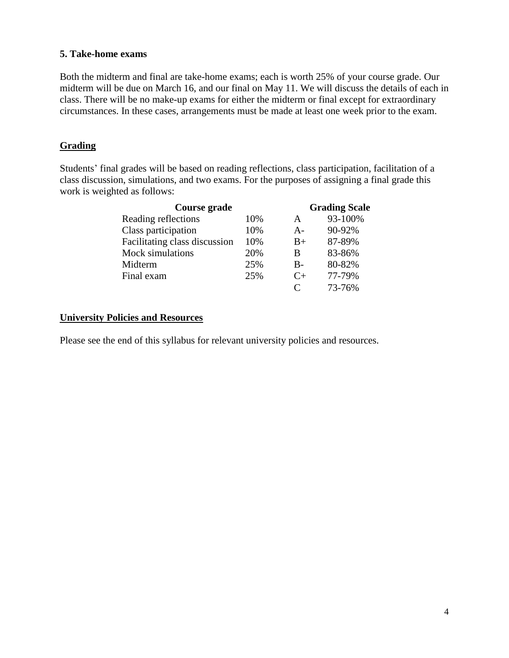#### **5. Take-home exams**

Both the midterm and final are take-home exams; each is worth 25% of your course grade. Our midterm will be due on March 16, and our final on May 11. We will discuss the details of each in class. There will be no make-up exams for either the midterm or final except for extraordinary circumstances. In these cases, arrangements must be made at least one week prior to the exam.

# **Grading**

Students' final grades will be based on reading reflections, class participation, facilitation of a class discussion, simulations, and two exams. For the purposes of assigning a final grade this work is weighted as follows:

| Course grade                  |     |           | <b>Grading Scale</b> |  |
|-------------------------------|-----|-----------|----------------------|--|
| Reading reflections           | 10% | A         | 93-100%              |  |
| Class participation           | 10% | $A -$     | 90-92%               |  |
| Facilitating class discussion | 10% | $B+$      | 87-89%               |  |
| Mock simulations              | 20% | B         | 83-86%               |  |
| Midterm                       | 25% | $B -$     | 80-82%               |  |
| Final exam                    | 25% | $C_{\pm}$ | 77-79%               |  |
|                               |     | $\subset$ | 73-76%               |  |

# **University Policies and Resources**

Please see the end of this syllabus for relevant university policies and resources.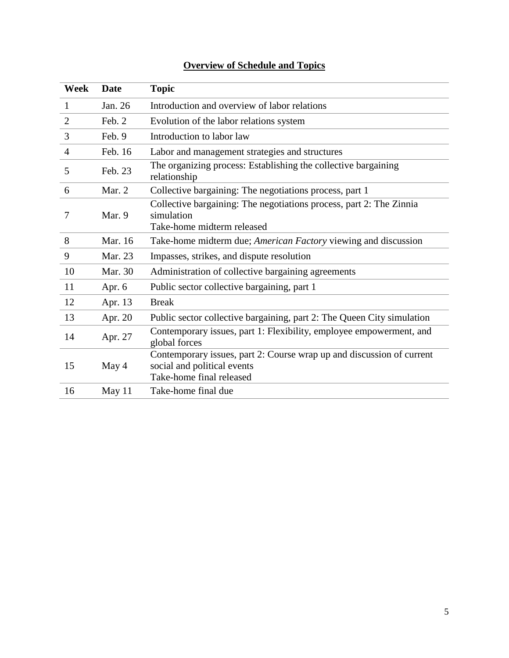| <b>Week</b>    | <b>Date</b> | <b>Topic</b>                                                                                                                     |
|----------------|-------------|----------------------------------------------------------------------------------------------------------------------------------|
| $\mathbf{1}$   | Jan. 26     | Introduction and overview of labor relations                                                                                     |
| $\overline{2}$ | Feb. 2      | Evolution of the labor relations system                                                                                          |
| 3              | Feb. 9      | Introduction to labor law                                                                                                        |
| $\overline{4}$ | Feb. 16     | Labor and management strategies and structures                                                                                   |
| 5              | Feb. 23     | The organizing process: Establishing the collective bargaining<br>relationship                                                   |
| 6              | Mar. 2      | Collective bargaining: The negotiations process, part 1                                                                          |
| 7              | Mar. 9      | Collective bargaining: The negotiations process, part 2: The Zinnia<br>simulation<br>Take-home midterm released                  |
| 8              | Mar. 16     | Take-home midterm due; American Factory viewing and discussion                                                                   |
| 9              | Mar. 23     | Impasses, strikes, and dispute resolution                                                                                        |
| 10             | Mar. 30     | Administration of collective bargaining agreements                                                                               |
| 11             | Apr. 6      | Public sector collective bargaining, part 1                                                                                      |
| 12             | Apr. 13     | <b>Break</b>                                                                                                                     |
| 13             | Apr. 20     | Public sector collective bargaining, part 2: The Queen City simulation                                                           |
| 14             | Apr. 27     | Contemporary issues, part 1: Flexibility, employee empowerment, and<br>global forces                                             |
| 15             | May 4       | Contemporary issues, part 2: Course wrap up and discussion of current<br>social and political events<br>Take-home final released |
| 16             | May 11      | Take-home final due                                                                                                              |

# **Overview of Schedule and Topics**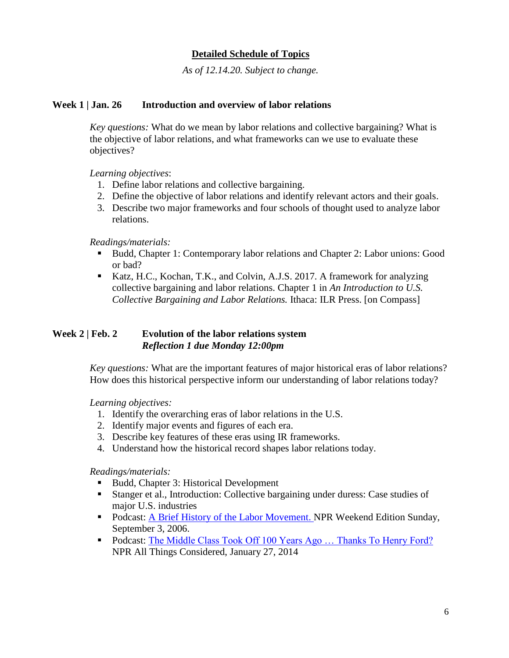# **Detailed Schedule of Topics**

*As of 12.14.20. Subject to change.*

#### **Week 1 | Jan. 26 Introduction and overview of labor relations**

*Key questions:* What do we mean by labor relations and collective bargaining? What is the objective of labor relations, and what frameworks can we use to evaluate these objectives?

*Learning objectives*:

- 1. Define labor relations and collective bargaining.
- 2. Define the objective of labor relations and identify relevant actors and their goals.
- 3. Describe two major frameworks and four schools of thought used to analyze labor relations.

#### *Readings/materials:*

- Budd, Chapter 1: Contemporary labor relations and Chapter 2: Labor unions: Good or bad?
- Katz, H.C., Kochan, T.K., and Colvin, A.J.S. 2017. A framework for analyzing collective bargaining and labor relations. Chapter 1 in *An Introduction to U.S. Collective Bargaining and Labor Relations.* Ithaca: ILR Press. [on Compass]

# **Week 2 | Feb. 2 Evolution of the labor relations system**  *Reflection 1 due Monday 12:00pm*

*Key questions:* What are the important features of major historical eras of labor relations? How does this historical perspective inform our understanding of labor relations today?

*Learning objectives:*

- 1. Identify the overarching eras of labor relations in the U.S.
- 2. Identify major events and figures of each era.
- 3. Describe key features of these eras using IR frameworks.
- 4. Understand how the historical record shapes labor relations today.

*Readings/materials:*

- Budd, Chapter 3: Historical Development
- Stanger et al., Introduction: Collective bargaining under duress: Case studies of major U.S. industries
- Podcast: [A Brief History of the Labor Movement.](http://www.npr.org/templates/story/story.php?storyId=5758863) NPR Weekend Edition Sunday, September 3, 2006.
- Podcast: The Middle Class Took Off 100 Years Ago ... Thanks To Henry Ford? NPR All Things Considered, January 27, 2014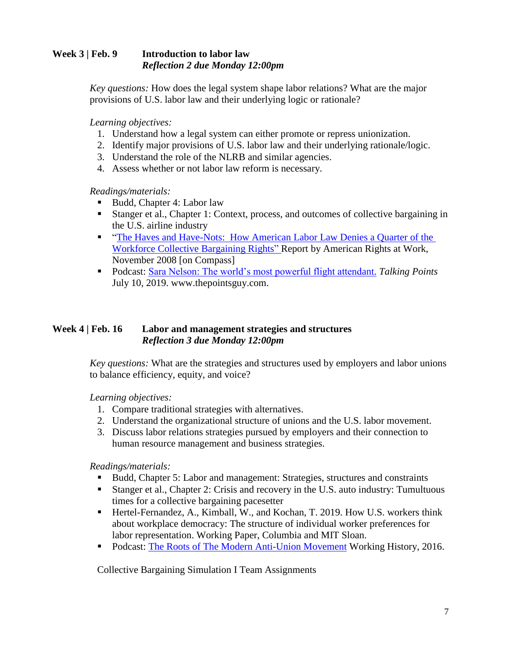# **Week 3 | Feb. 9 Introduction to labor law** *Reflection 2 due Monday 12:00pm*

*Key questions:* How does the legal system shape labor relations? What are the major provisions of U.S. labor law and their underlying logic or rationale?

*Learning objectives:*

- 1. Understand how a legal system can either promote or repress unionization.
- 2. Identify major provisions of U.S. labor law and their underlying rationale/logic.
- 3. Understand the role of the NLRB and similar agencies.
- 4. Assess whether or not labor law reform is necessary.

*Readings/materials:*

- Budd, Chapter 4: Labor law
- Stanger et al., Chapter 1: Context, process, and outcomes of collective bargaining in the U.S. airline industry
- **The Haves and Have-Nots: How American Labor Law Denies a Quarter of the** [Workforce Collective Bargaining Rights"](http://www.jwj.org/wp-content/uploads/2014/04/havesandhavenots_nlracoverage.pdf) Report by American Rights at Work, November 2008 [on Compass]
- Podcast: [Sara Nelson: The world's most powerful flight attendant.](https://thepointsguy.com/news/flight-attendant-leader-sara-nelson-president-of-afa-on-talking-points-podcast/) *Talking Points* July 10, 2019. www.thepointsguy.com.

# **Week 4 | Feb. 16 Labor and management strategies and structures** *Reflection 3 due Monday 12:00pm*

*Key questions:* What are the strategies and structures used by employers and labor unions to balance efficiency, equity, and voice?

# *Learning objectives:*

- 1. Compare traditional strategies with alternatives.
- 2. Understand the organizational structure of unions and the U.S. labor movement.
- 3. Discuss labor relations strategies pursued by employers and their connection to human resource management and business strategies.

# *Readings/materials:*

- Budd, Chapter 5: Labor and management: Strategies, structures and constraints
- Stanger et al., Chapter 2: Crisis and recovery in the U.S. auto industry: Tumultuous times for a collective bargaining pacesetter
- Hertel-Fernandez, A., Kimball, W., and Kochan, T. 2019. How U.S. workers think about workplace democracy: The structure of individual worker preferences for labor representation. Working Paper, Columbia and MIT Sloan.
- Podcast: [The Roots of The Modern Anti-Union Movement](https://soundcloud.com/southernlaborstudies/the-roots-of-the-modern-anti-union-movement) Working History, 2016.

Collective Bargaining Simulation I Team Assignments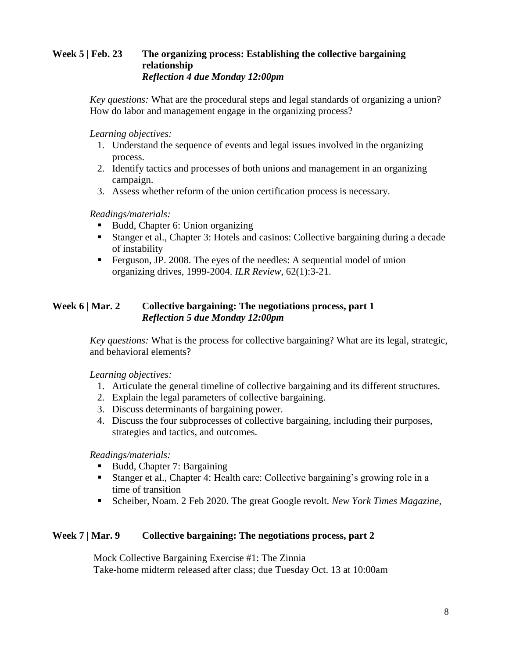### **Week 5 | Feb. 23 The organizing process: Establishing the collective bargaining relationship** *Reflection 4 due Monday 12:00pm*

*Key questions:* What are the procedural steps and legal standards of organizing a union? How do labor and management engage in the organizing process?

*Learning objectives:*

- 1. Understand the sequence of events and legal issues involved in the organizing process.
- 2. Identify tactics and processes of both unions and management in an organizing campaign.
- 3. Assess whether reform of the union certification process is necessary.

*Readings/materials:*

- Budd, Chapter 6: Union organizing
- Stanger et al., Chapter 3: Hotels and casinos: Collective bargaining during a decade of instability
- Ferguson, JP. 2008. The eyes of the needles: A sequential model of union organizing drives, 1999-2004. *ILR Review*, 62(1):3-21.

# **Week 6 | Mar. 2 Collective bargaining: The negotiations process, part 1** *Reflection 5 due Monday 12:00pm*

*Key questions:* What is the process for collective bargaining? What are its legal, strategic, and behavioral elements?

*Learning objectives:*

- 1. Articulate the general timeline of collective bargaining and its different structures.
- 2. Explain the legal parameters of collective bargaining.
- 3. Discuss determinants of bargaining power.
- 4. Discuss the four subprocesses of collective bargaining, including their purposes, strategies and tactics, and outcomes.

*Readings/materials:*

- Budd, Chapter 7: Bargaining
- Stanger et al., Chapter 4: Health care: Collective bargaining's growing role in a time of transition
- Scheiber, Noam. 2 Feb 2020. The great Google revolt. *New York Times Magazine*,

#### **Week 7 | Mar. 9 Collective bargaining: The negotiations process, part 2**

Mock Collective Bargaining Exercise #1: The Zinnia Take-home midterm released after class; due Tuesday Oct. 13 at 10:00am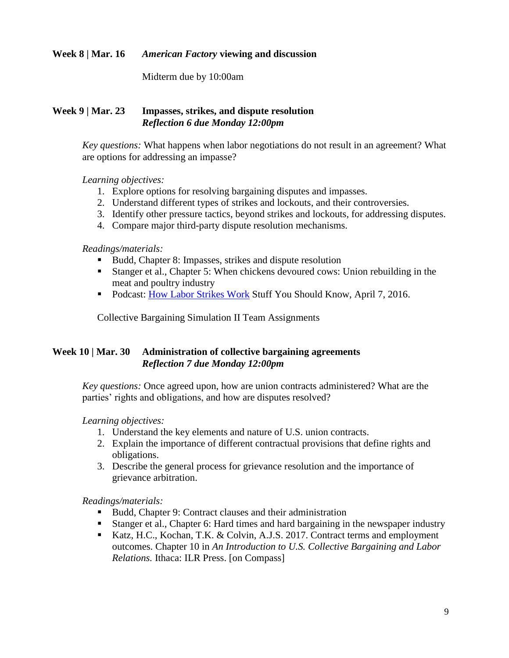# **Week 8 | Mar. 16** *American Factory* **viewing and discussion**

Midterm due by 10:00am

### **Week 9 | Mar. 23 Impasses, strikes, and dispute resolution**  *Reflection 6 due Monday 12:00pm*

*Key questions:* What happens when labor negotiations do not result in an agreement? What are options for addressing an impasse?

#### *Learning objectives:*

- 1. Explore options for resolving bargaining disputes and impasses.
- 2. Understand different types of strikes and lockouts, and their controversies.
- 3. Identify other pressure tactics, beyond strikes and lockouts, for addressing disputes.
- 4. Compare major third-party dispute resolution mechanisms.

#### *Readings/materials:*

- Budd, Chapter 8: Impasses, strikes and dispute resolution
- Stanger et al., Chapter 5: When chickens devoured cows: Union rebuilding in the meat and poultry industry
- Podcast: [How Labor Strikes Work](http://www.stuffyoushouldknow.com/podcasts/how-labor-strikes-work.htm) Stuff You Should Know, April 7, 2016.

Collective Bargaining Simulation II Team Assignments

# **Week 10 | Mar. 30 Administration of collective bargaining agreements** *Reflection 7 due Monday 12:00pm*

*Key questions:* Once agreed upon, how are union contracts administered? What are the parties' rights and obligations, and how are disputes resolved?

# *Learning objectives:*

- 1. Understand the key elements and nature of U.S. union contracts.
- 2. Explain the importance of different contractual provisions that define rights and obligations.
- 3. Describe the general process for grievance resolution and the importance of grievance arbitration.

# *Readings/materials:*

- Budd, Chapter 9: Contract clauses and their administration
- Stanger et al., Chapter 6: Hard times and hard bargaining in the newspaper industry
- Katz, H.C., Kochan, T.K. & Colvin, A.J.S. 2017. Contract terms and employment outcomes. Chapter 10 in *An Introduction to U.S. Collective Bargaining and Labor Relations.* Ithaca: ILR Press. [on Compass]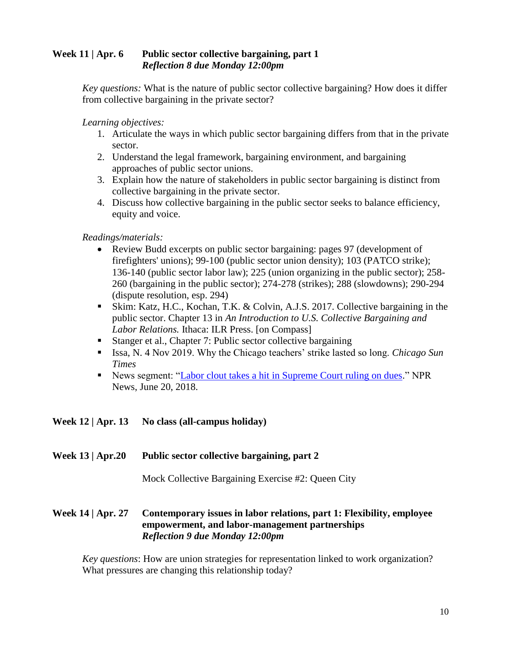# **Week 11 | Apr. 6 Public sector collective bargaining, part 1** *Reflection 8 due Monday 12:00pm*

*Key questions:* What is the nature of public sector collective bargaining? How does it differ from collective bargaining in the private sector?

*Learning objectives:* 

- 1. Articulate the ways in which public sector bargaining differs from that in the private sector.
- 2. Understand the legal framework, bargaining environment, and bargaining approaches of public sector unions.
- 3. Explain how the nature of stakeholders in public sector bargaining is distinct from collective bargaining in the private sector.
- 4. Discuss how collective bargaining in the public sector seeks to balance efficiency, equity and voice.

*Readings/materials:*

- Review Budd excerpts on public sector bargaining: pages 97 (development of firefighters' unions); 99-100 (public sector union density); 103 (PATCO strike); 136-140 (public sector labor law); 225 (union organizing in the public sector); 258- 260 (bargaining in the public sector); 274-278 (strikes); 288 (slowdowns); 290-294 (dispute resolution, esp. 294)
- Skim: Katz, H.C., Kochan, T.K. & Colvin, A.J.S. 2017. Collective bargaining in the public sector. Chapter 13 in *An Introduction to U.S. Collective Bargaining and Labor Relations.* Ithaca: ILR Press. [on Compass]
- Stanger et al., Chapter 7: Public sector collective bargaining
- Issa, N. 4 Nov 2019. Why the Chicago teachers' strike lasted so long. *Chicago Sun Times*
- News segment: ["Labor clout takes a hit in Supreme Court ruling on dues.](https://www.npr.org/2018/06/30/624513403/labor-clout-takes-a-hit-in-supreme-court-ruling-on-dues)" NPR News, June 20, 2018.

# **Week 12 | Apr. 13 No class (all-campus holiday)**

#### **Week 13 | Apr.20 Public sector collective bargaining, part 2**

Mock Collective Bargaining Exercise #2: Queen City

# **Week 14 | Apr. 27 Contemporary issues in labor relations, part 1: Flexibility, employee empowerment, and labor-management partnerships**  *Reflection 9 due Monday 12:00pm*

*Key questions*: How are union strategies for representation linked to work organization? What pressures are changing this relationship today?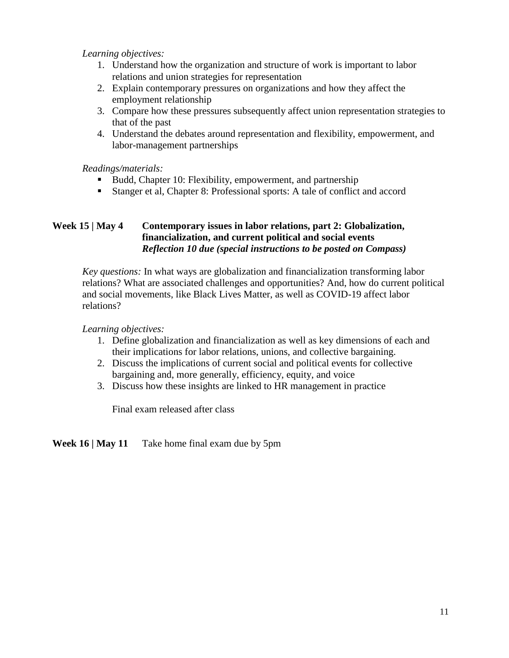*Learning objectives:* 

- 1. Understand how the organization and structure of work is important to labor relations and union strategies for representation
- 2. Explain contemporary pressures on organizations and how they affect the employment relationship
- 3. Compare how these pressures subsequently affect union representation strategies to that of the past
- 4. Understand the debates around representation and flexibility, empowerment, and labor-management partnerships

*Readings/materials:*

- Budd, Chapter 10: Flexibility, empowerment, and partnership
- Stanger et al, Chapter 8: Professional sports: A tale of conflict and accord

# **Week 15 | May 4 Contemporary issues in labor relations, part 2: Globalization, financialization, and current political and social events** *Reflection 10 due (special instructions to be posted on Compass)*

*Key questions:* In what ways are globalization and financialization transforming labor relations? What are associated challenges and opportunities? And, how do current political and social movements, like Black Lives Matter, as well as COVID-19 affect labor relations?

*Learning objectives:* 

- 1. Define globalization and financialization as well as key dimensions of each and their implications for labor relations, unions, and collective bargaining.
- 2. Discuss the implications of current social and political events for collective bargaining and, more generally, efficiency, equity, and voice
- 3. Discuss how these insights are linked to HR management in practice

Final exam released after class

**Week 16 | May 11** Take home final exam due by 5pm